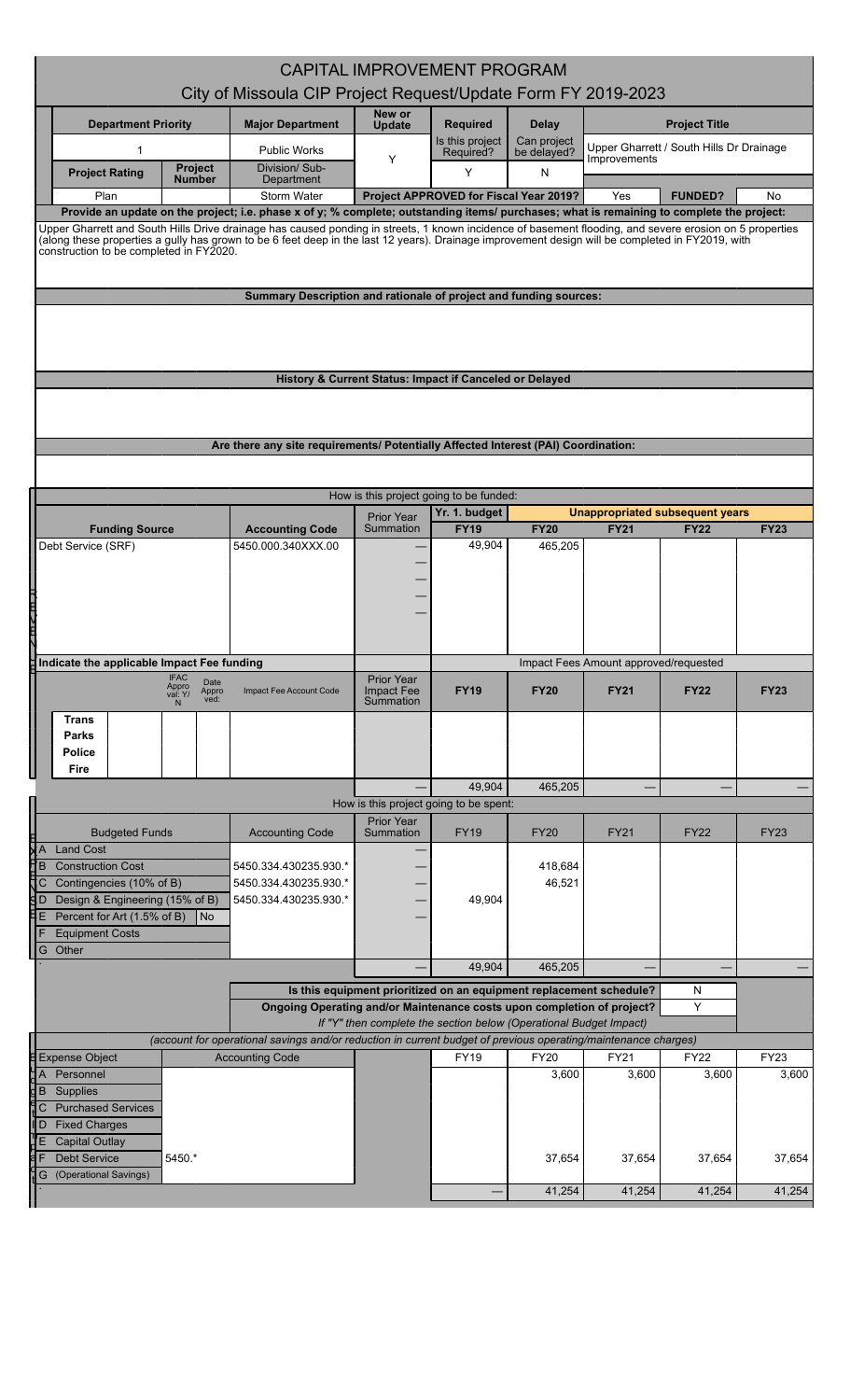|                                                                                                                                                                                                                                                                                                                                                        |                                                                                                                |                                 | <b>CAPITAL IMPROVEMENT PROGRAM</b>                                  |                      |                      |                                                       |                      |
|--------------------------------------------------------------------------------------------------------------------------------------------------------------------------------------------------------------------------------------------------------------------------------------------------------------------------------------------------------|----------------------------------------------------------------------------------------------------------------|---------------------------------|---------------------------------------------------------------------|----------------------|----------------------|-------------------------------------------------------|----------------------|
|                                                                                                                                                                                                                                                                                                                                                        | City of Missoula CIP Project Request/Update Form FY 2019-2023                                                  |                                 |                                                                     |                      |                      |                                                       |                      |
| <b>Department Priority</b>                                                                                                                                                                                                                                                                                                                             | <b>Major Department</b>                                                                                        | New or<br><b>Update</b>         | <b>Required</b>                                                     | <b>Delay</b>         | <b>Project Title</b> |                                                       |                      |
| 1                                                                                                                                                                                                                                                                                                                                                      | <b>Public Works</b>                                                                                            |                                 | Is this project                                                     | Can project          |                      | Upper Gharrett / South Hills Dr Drainage              |                      |
| <b>Project</b><br><b>Project Rating</b>                                                                                                                                                                                                                                                                                                                | Division/ Sub-                                                                                                 | Υ                               | Required?<br>Y                                                      | be delayed?<br>N     | Improvements         |                                                       |                      |
| Number<br>Plan                                                                                                                                                                                                                                                                                                                                         | Department<br><b>Storm Water</b>                                                                               |                                 | Project APPROVED for Fiscal Year 2019?                              |                      | Yes                  | <b>FUNDED?</b>                                        | No                   |
| Provide an update on the project; i.e. phase x of y; % complete; outstanding items/ purchases; what is remaining to complete the project:                                                                                                                                                                                                              |                                                                                                                |                                 |                                                                     |                      |                      |                                                       |                      |
| Upper Gharrett and South Hills Drive drainage has caused ponding in streets, 1 known incidence of basement flooding, and severe erosion on 5 properties<br>(along these properties a gully has grown to be 6 feet deep in the last 12 years). Drainage improvement design will be completed in FY2019, with<br>construction to be completed in FY2020. |                                                                                                                |                                 |                                                                     |                      |                      |                                                       |                      |
|                                                                                                                                                                                                                                                                                                                                                        |                                                                                                                |                                 |                                                                     |                      |                      |                                                       |                      |
|                                                                                                                                                                                                                                                                                                                                                        | Summary Description and rationale of project and funding sources:                                              |                                 |                                                                     |                      |                      |                                                       |                      |
|                                                                                                                                                                                                                                                                                                                                                        |                                                                                                                |                                 |                                                                     |                      |                      |                                                       |                      |
|                                                                                                                                                                                                                                                                                                                                                        |                                                                                                                |                                 |                                                                     |                      |                      |                                                       |                      |
|                                                                                                                                                                                                                                                                                                                                                        |                                                                                                                |                                 |                                                                     |                      |                      |                                                       |                      |
|                                                                                                                                                                                                                                                                                                                                                        | History & Current Status: Impact if Canceled or Delayed                                                        |                                 |                                                                     |                      |                      |                                                       |                      |
|                                                                                                                                                                                                                                                                                                                                                        |                                                                                                                |                                 |                                                                     |                      |                      |                                                       |                      |
|                                                                                                                                                                                                                                                                                                                                                        | Are there any site requirements/ Potentially Affected Interest (PAI) Coordination:                             |                                 |                                                                     |                      |                      |                                                       |                      |
|                                                                                                                                                                                                                                                                                                                                                        |                                                                                                                |                                 |                                                                     |                      |                      |                                                       |                      |
|                                                                                                                                                                                                                                                                                                                                                        |                                                                                                                |                                 | How is this project going to be funded:                             |                      |                      |                                                       |                      |
|                                                                                                                                                                                                                                                                                                                                                        |                                                                                                                | <b>Prior Year</b><br>Summation  | Yr. 1. budget<br><b>FY19</b>                                        | <b>FY20</b>          | <b>FY21</b>          | <b>Unappropriated subsequent years</b><br><b>FY22</b> | <b>FY23</b>          |
| <b>Funding Source</b><br>Debt Service (SRF)                                                                                                                                                                                                                                                                                                            | <b>Accounting Code</b><br>5450.000.340XXX.00                                                                   |                                 | 49,904                                                              | 465,205              |                      |                                                       |                      |
|                                                                                                                                                                                                                                                                                                                                                        |                                                                                                                |                                 |                                                                     |                      |                      |                                                       |                      |
|                                                                                                                                                                                                                                                                                                                                                        |                                                                                                                |                                 |                                                                     |                      |                      |                                                       |                      |
| 一                                                                                                                                                                                                                                                                                                                                                      |                                                                                                                |                                 |                                                                     |                      |                      |                                                       |                      |
|                                                                                                                                                                                                                                                                                                                                                        |                                                                                                                |                                 |                                                                     |                      |                      |                                                       |                      |
| Indicate the applicable Impact Fee funding                                                                                                                                                                                                                                                                                                             |                                                                                                                |                                 |                                                                     |                      |                      |                                                       |                      |
| <b>IFAC</b><br>Date<br>Appro<br>Appro<br>ved:<br>val: Y/                                                                                                                                                                                                                                                                                               | Impact Fee Account Code                                                                                        | Prior Year<br><b>Impact Fee</b> | <b>FY19</b>                                                         | <b>FY20</b>          | <b>FY21</b>          | <b>FY22</b>                                           | <b>FY23</b>          |
| <b>Trans</b>                                                                                                                                                                                                                                                                                                                                           |                                                                                                                | Summation                       |                                                                     |                      |                      |                                                       |                      |
| Parks                                                                                                                                                                                                                                                                                                                                                  |                                                                                                                |                                 |                                                                     |                      |                      |                                                       |                      |
| Police<br>Fire                                                                                                                                                                                                                                                                                                                                         |                                                                                                                |                                 |                                                                     |                      |                      |                                                       |                      |
|                                                                                                                                                                                                                                                                                                                                                        |                                                                                                                |                                 | 49,904                                                              | 465,205              |                      |                                                       |                      |
|                                                                                                                                                                                                                                                                                                                                                        |                                                                                                                |                                 | How is this project going to be spent:                              |                      |                      |                                                       |                      |
| <b>Budgeted Funds</b>                                                                                                                                                                                                                                                                                                                                  | <b>Accounting Code</b>                                                                                         | <b>Prior Year</b><br>Summation  | <b>FY19</b>                                                         | <b>FY20</b>          | <b>FY21</b>          | <b>FY22</b>                                           | <b>FY23</b>          |
| <b>Land Cost</b>                                                                                                                                                                                                                                                                                                                                       |                                                                                                                |                                 |                                                                     |                      |                      |                                                       |                      |
| <b>Construction Cost</b><br>B<br>Contingencies (10% of B)                                                                                                                                                                                                                                                                                              | 5450.334.430235.930.*<br>5450.334.430235.930.*                                                                 |                                 |                                                                     | 418,684<br>46,521    |                      |                                                       |                      |
| Design & Engineering (15% of B)<br>١D                                                                                                                                                                                                                                                                                                                  | 5450.334.430235.930.*                                                                                          |                                 | 49,904                                                              |                      |                      |                                                       |                      |
| Percent for Art (1.5% of B)<br>l No<br>7E<br><b>Equipment Costs</b>                                                                                                                                                                                                                                                                                    |                                                                                                                |                                 |                                                                     |                      |                      |                                                       |                      |
| Other<br>G                                                                                                                                                                                                                                                                                                                                             |                                                                                                                |                                 |                                                                     |                      |                      |                                                       |                      |
|                                                                                                                                                                                                                                                                                                                                                        |                                                                                                                |                                 | 49,904                                                              | 465,205              |                      |                                                       |                      |
|                                                                                                                                                                                                                                                                                                                                                        |                                                                                                                |                                 | Is this equipment prioritized on an equipment replacement schedule? |                      |                      | N                                                     |                      |
|                                                                                                                                                                                                                                                                                                                                                        | Ongoing Operating and/or Maintenance costs upon completion of project?                                         |                                 | If "Y" then complete the section below (Operational Budget Impact)  |                      |                      | Y                                                     |                      |
|                                                                                                                                                                                                                                                                                                                                                        | (account for operational savings and/or reduction in current budget of previous operating/maintenance charges) |                                 |                                                                     |                      |                      |                                                       |                      |
| <b>Expense Object</b><br>Personnel                                                                                                                                                                                                                                                                                                                     | <b>Accounting Code</b>                                                                                         |                                 | <b>FY19</b>                                                         | <b>FY20</b><br>3,600 | FY21<br>3,600        | <b>FY22</b><br>3,600                                  | <b>FY23</b><br>3,600 |
| Supplies<br>B                                                                                                                                                                                                                                                                                                                                          |                                                                                                                |                                 |                                                                     |                      |                      |                                                       |                      |
| <b>Purchased Services</b><br>C                                                                                                                                                                                                                                                                                                                         |                                                                                                                |                                 |                                                                     |                      |                      |                                                       |                      |
| <b>Fixed Charges</b><br>D<br><b>Capital Outlay</b>                                                                                                                                                                                                                                                                                                     |                                                                                                                |                                 |                                                                     |                      |                      |                                                       |                      |
| <b>Debt Service</b><br>5450.*                                                                                                                                                                                                                                                                                                                          |                                                                                                                |                                 |                                                                     | 37,654               | 37,654               | 37,654                                                | 37,654               |
| (Operational Savings)<br>G                                                                                                                                                                                                                                                                                                                             |                                                                                                                |                                 |                                                                     |                      |                      |                                                       |                      |
|                                                                                                                                                                                                                                                                                                                                                        | 41,254<br>41,254<br>41,254                                                                                     |                                 |                                                                     |                      |                      |                                                       | 41,254               |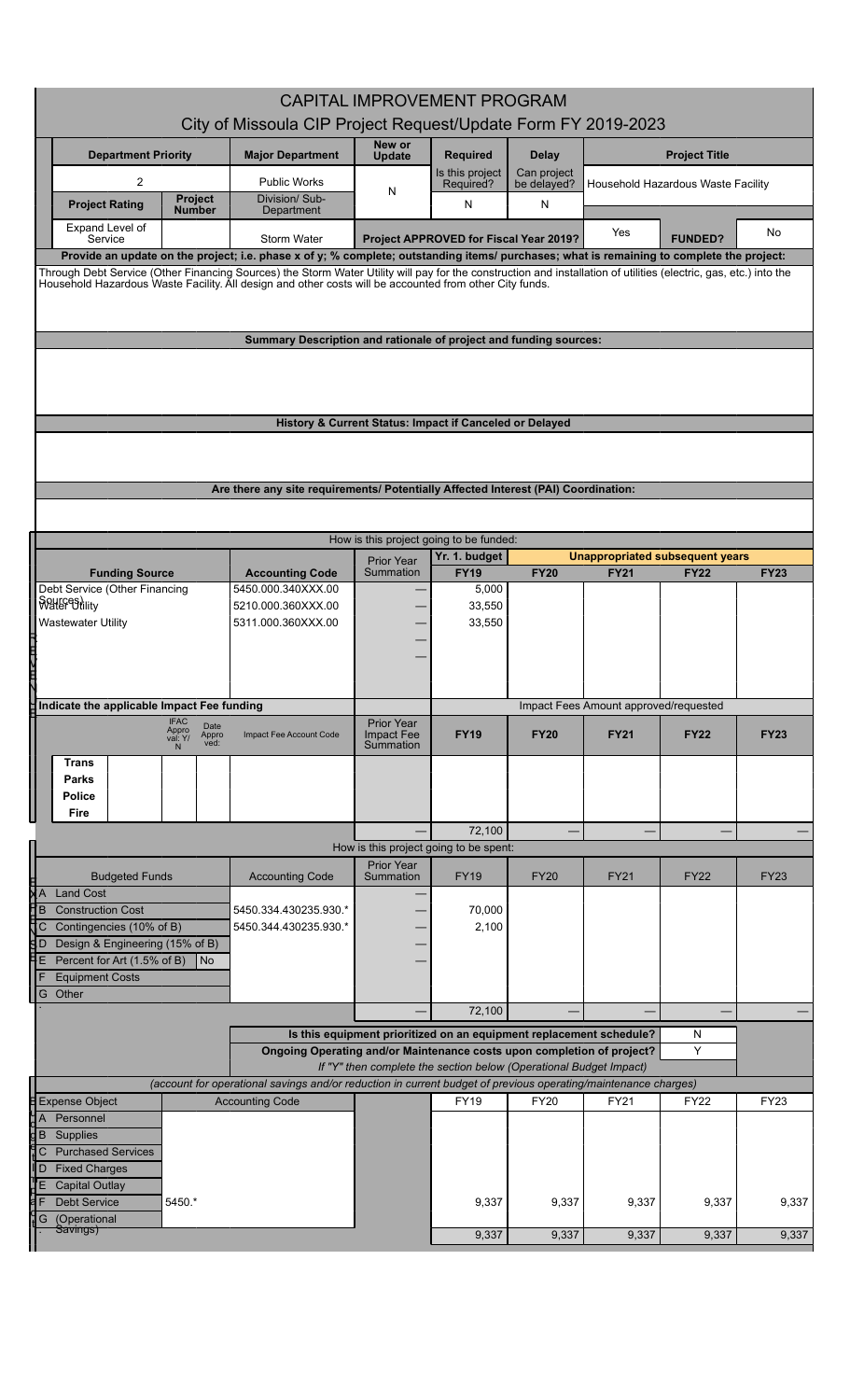|                                                                                                                                                                                                                                                                              | City of Missoula CIP Project Request/Update Form FY 2019-2023                                                  | <b>CAPITAL IMPROVEMENT PROGRAM</b>                                  |                                        |                  |                                       |                                 |             |
|------------------------------------------------------------------------------------------------------------------------------------------------------------------------------------------------------------------------------------------------------------------------------|----------------------------------------------------------------------------------------------------------------|---------------------------------------------------------------------|----------------------------------------|------------------|---------------------------------------|---------------------------------|-------------|
| <b>Department Priority</b>                                                                                                                                                                                                                                                   | <b>Major Department</b>                                                                                        | New or<br><b>Update</b>                                             | <b>Required</b>                        | <b>Delay</b>     | <b>Project Title</b>                  |                                 |             |
| 2                                                                                                                                                                                                                                                                            | <b>Public Works</b>                                                                                            |                                                                     | Is this project                        | Can project      | Household Hazardous Waste Facility    |                                 |             |
| <b>Project</b><br><b>Project Rating</b>                                                                                                                                                                                                                                      | Division/Sub-                                                                                                  | N                                                                   | Required?<br>N                         | be delayed?<br>N |                                       |                                 |             |
| <b>Number</b><br>Expand Level of                                                                                                                                                                                                                                             | Department                                                                                                     |                                                                     |                                        |                  | Yes                                   |                                 | No          |
| Service<br>Provide an update on the project; i.e. phase x of y; % complete; outstanding items/ purchases; what is remaining to complete the project:                                                                                                                         | Storm Water                                                                                                    |                                                                     | Project APPROVED for Fiscal Year 2019? |                  |                                       | <b>FUNDED?</b>                  |             |
| Through Debt Service (Other Financing Sources) the Storm Water Utility will pay for the construction and installation of utilities (electric, gas, etc.) into the<br>Household Hazardous Waste Facility. All design and other costs will be accounted from other City funds. | Summary Description and rationale of project and funding sources:                                              |                                                                     |                                        |                  |                                       |                                 |             |
|                                                                                                                                                                                                                                                                              | History & Current Status: Impact if Canceled or Delayed                                                        |                                                                     |                                        |                  |                                       |                                 |             |
|                                                                                                                                                                                                                                                                              |                                                                                                                |                                                                     |                                        |                  |                                       |                                 |             |
|                                                                                                                                                                                                                                                                              | Are there any site requirements/ Potentially Affected Interest (PAI) Coordination:                             |                                                                     |                                        |                  |                                       |                                 |             |
|                                                                                                                                                                                                                                                                              |                                                                                                                |                                                                     |                                        |                  |                                       |                                 |             |
|                                                                                                                                                                                                                                                                              |                                                                                                                | How is this project going to be funded:                             |                                        |                  |                                       |                                 |             |
|                                                                                                                                                                                                                                                                              |                                                                                                                | <b>Prior Year</b>                                                   | Yr. 1. budget                          |                  |                                       | Unappropriated subsequent years |             |
| <b>Funding Source</b>                                                                                                                                                                                                                                                        | <b>Accounting Code</b>                                                                                         | Summation                                                           | <b>FY19</b>                            | <b>FY20</b>      | <b>FY21</b>                           | <b>FY22</b>                     | <b>FY23</b> |
| Debt Service (Other Financing<br><b>SPHEF Brility</b>                                                                                                                                                                                                                        | 5450.000.340XXX.00<br>5210.000.360XXX.00                                                                       |                                                                     | 5,000<br>33,550                        |                  |                                       |                                 |             |
| Wastewater Utility                                                                                                                                                                                                                                                           | 5311.000.360XXX.00                                                                                             |                                                                     | 33,550                                 |                  |                                       |                                 |             |
|                                                                                                                                                                                                                                                                              |                                                                                                                |                                                                     |                                        |                  |                                       |                                 |             |
|                                                                                                                                                                                                                                                                              |                                                                                                                |                                                                     |                                        |                  |                                       |                                 |             |
| スロスロス                                                                                                                                                                                                                                                                        |                                                                                                                |                                                                     |                                        |                  |                                       |                                 |             |
| (µIndicate the applicable Impact Fee funding                                                                                                                                                                                                                                 |                                                                                                                |                                                                     |                                        |                  | Impact Fees Amount approved/requested |                                 |             |
| <b>IFAC</b><br>Date<br>Appro<br>val: Y/                                                                                                                                                                                                                                      | Impact Fee Account Code                                                                                        | Prior Year<br>Impact Fee                                            | <b>FY19</b>                            | <b>FY20</b>      | <b>FY21</b>                           | <b>FY22</b>                     | <b>FY23</b> |
| Appro<br>ved:<br>N                                                                                                                                                                                                                                                           |                                                                                                                | Summation                                                           |                                        |                  |                                       |                                 |             |
| Trans<br>Parks                                                                                                                                                                                                                                                               |                                                                                                                |                                                                     |                                        |                  |                                       |                                 |             |
| Police                                                                                                                                                                                                                                                                       |                                                                                                                |                                                                     |                                        |                  |                                       |                                 |             |
| I<br>Fire                                                                                                                                                                                                                                                                    |                                                                                                                |                                                                     |                                        |                  |                                       |                                 |             |
|                                                                                                                                                                                                                                                                              |                                                                                                                |                                                                     | 72,100                                 |                  |                                       |                                 |             |
|                                                                                                                                                                                                                                                                              |                                                                                                                | How is this project going to be spent:<br><b>Prior Year</b>         |                                        |                  |                                       |                                 |             |
| <b>Budgeted Funds</b>                                                                                                                                                                                                                                                        | <b>Accounting Code</b>                                                                                         | Summation                                                           | <b>FY19</b>                            | <b>FY20</b>      | <b>FY21</b>                           | <b>FY22</b>                     | FY23        |
| ЖĀ<br><b>Land Cost</b><br>Ŧв<br><b>Construction Cost</b>                                                                                                                                                                                                                     | 5450.334.430235.930.*                                                                                          |                                                                     | 70,000                                 |                  |                                       |                                 |             |
| Contingencies (10% of B)<br>JC                                                                                                                                                                                                                                               | 5450.344.430235.930.*                                                                                          |                                                                     | 2,100                                  |                  |                                       |                                 |             |
| Design & Engineering (15% of B)<br>۹D                                                                                                                                                                                                                                        |                                                                                                                |                                                                     |                                        |                  |                                       |                                 |             |
| ĦЕ<br>Percent for Art (1.5% of B)<br>$\overline{\mathsf{No}}$<br><b>Equipment Costs</b>                                                                                                                                                                                      |                                                                                                                |                                                                     |                                        |                  |                                       |                                 |             |
| Other<br>G                                                                                                                                                                                                                                                                   |                                                                                                                |                                                                     |                                        |                  |                                       |                                 |             |
|                                                                                                                                                                                                                                                                              |                                                                                                                |                                                                     | 72,100                                 |                  |                                       |                                 |             |
|                                                                                                                                                                                                                                                                              |                                                                                                                | Is this equipment prioritized on an equipment replacement schedule? |                                        |                  |                                       | N                               |             |
|                                                                                                                                                                                                                                                                              | Ongoing Operating and/or Maintenance costs upon completion of project?                                         |                                                                     |                                        |                  |                                       | Y                               |             |
|                                                                                                                                                                                                                                                                              | (account for operational savings and/or reduction in current budget of previous operating/maintenance charges) | If "Y" then complete the section below (Operational Budget Impact)  |                                        |                  |                                       |                                 |             |
| <b>E</b> Expense Object                                                                                                                                                                                                                                                      | <b>Accounting Code</b>                                                                                         |                                                                     | FY19                                   | <b>FY20</b>      | <b>FY21</b>                           | <b>FY22</b>                     | FY23        |
| Personnel<br>ăЯ                                                                                                                                                                                                                                                              |                                                                                                                |                                                                     |                                        |                  |                                       |                                 |             |
| $\overline{\mathsf{d}}$ B<br>Supplies<br><b>Purchased Services</b><br>C                                                                                                                                                                                                      |                                                                                                                |                                                                     |                                        |                  |                                       |                                 |             |
| <b>Fixed Charges</b><br>II D                                                                                                                                                                                                                                                 |                                                                                                                |                                                                     |                                        |                  |                                       |                                 |             |
| IJЕ<br><b>Capital Outlay</b>                                                                                                                                                                                                                                                 |                                                                                                                |                                                                     |                                        |                  |                                       |                                 |             |
| <b>Debt Service</b><br>5450.*                                                                                                                                                                                                                                                |                                                                                                                |                                                                     | 9,337                                  | 9,337            | 9,337                                 | 9,337                           | 9,337       |
| (Operational<br>G<br>Savings)                                                                                                                                                                                                                                                |                                                                                                                |                                                                     | 9,337                                  | 9,337            | 9,337                                 | 9,337                           | 9,337       |
|                                                                                                                                                                                                                                                                              |                                                                                                                |                                                                     |                                        |                  |                                       |                                 |             |